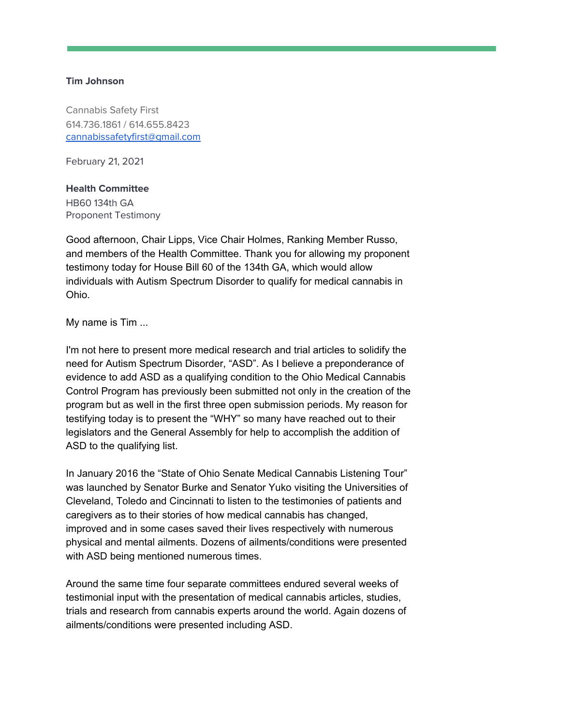## **Tim Johnson**

Cannabis Safety First 614.736.1861 / 614.655.8423 [cannabissafetyfirst@gmail.com](mailto:cannabissafetyfirst@gmail.com)

February 21, 2021

## **Health Committee**

HB60 134th GA Proponent Testimony

Good afternoon, Chair Lipps, Vice Chair Holmes, Ranking Member Russo, and members of the Health Committee. Thank you for allowing my proponent testimony today for House Bill 60 of the 134th GA, which would allow individuals with Autism Spectrum Disorder to qualify for medical cannabis in Ohio.

My name is Tim ...

I'm not here to present more medical research and trial articles to solidify the need for Autism Spectrum Disorder, "ASD". As I believe a preponderance of evidence to add ASD as a qualifying condition to the Ohio Medical Cannabis Control Program has previously been submitted not only in the creation of the program but as well in the first three open submission periods. My reason for testifying today is to present the "WHY" so many have reached out to their legislators and the General Assembly for help to accomplish the addition of ASD to the qualifying list.

In January 2016 the "State of Ohio Senate Medical Cannabis Listening Tour" was launched by Senator Burke and Senator Yuko visiting the Universities of Cleveland, Toledo and Cincinnati to listen to the testimonies of patients and caregivers as to their stories of how medical cannabis has changed, improved and in some cases saved their lives respectively with numerous physical and mental ailments. Dozens of ailments/conditions were presented with ASD being mentioned numerous times.

Around the same time four separate committees endured several weeks of testimonial input with the presentation of medical cannabis articles, studies, trials and research from cannabis experts around the world. Again dozens of ailments/conditions were presented including ASD.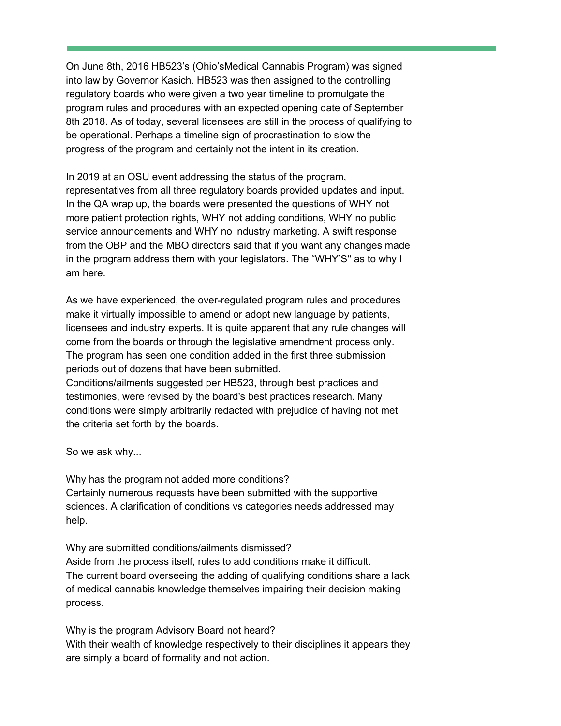On June 8th, 2016 HB523's (Ohio'sMedical Cannabis Program) was signed into law by Governor Kasich. HB523 was then assigned to the controlling regulatory boards who were given a two year timeline to promulgate the program rules and procedures with an expected opening date of September 8th 2018. As of today, several licensees are still in the process of qualifying to be operational. Perhaps a timeline sign of procrastination to slow the progress of the program and certainly not the intent in its creation.

In 2019 at an OSU event addressing the status of the program, representatives from all three regulatory boards provided updates and input. In the QA wrap up, the boards were presented the questions of WHY not more patient protection rights, WHY not adding conditions, WHY no public service announcements and WHY no industry marketing. A swift response from the OBP and the MBO directors said that if you want any changes made in the program address them with your legislators. The "WHY'S'' as to why I am here.

As we have experienced, the over-regulated program rules and procedures make it virtually impossible to amend or adopt new language by patients, licensees and industry experts. It is quite apparent that any rule changes will come from the boards or through the legislative amendment process only. The program has seen one condition added in the first three submission periods out of dozens that have been submitted.

Conditions/ailments suggested per HB523, through best practices and testimonies, were revised by the board's best practices research. Many conditions were simply arbitrarily redacted with prejudice of having not met the criteria set forth by the boards.

So we ask why...

Why has the program not added more conditions? Certainly numerous requests have been submitted with the supportive sciences. A clarification of conditions vs categories needs addressed may help.

Why are submitted conditions/ailments dismissed? Aside from the process itself, rules to add conditions make it difficult. The current board overseeing the adding of qualifying conditions share a lack of medical cannabis knowledge themselves impairing their decision making process.

Why is the program Advisory Board not heard? With their wealth of knowledge respectively to their disciplines it appears they are simply a board of formality and not action.